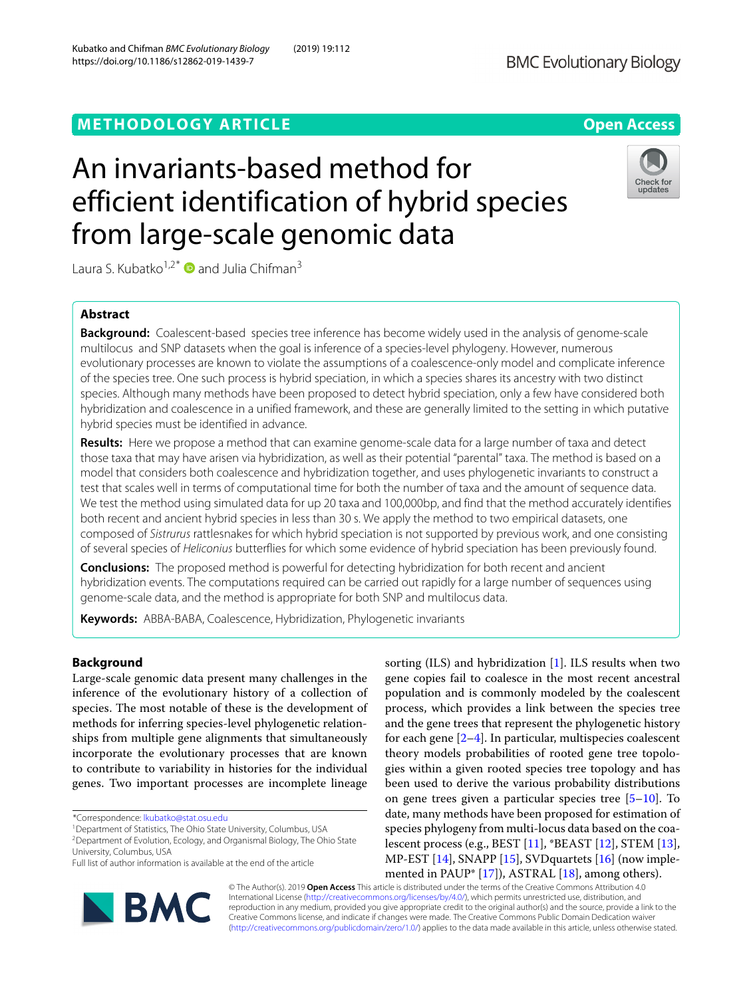# **METHODOLOGY ARTICLE Open Access**

# An invariants-based method for efficient identification of hybrid species from large-scale genomic data

Laura S. Kubatko<sup>1,2\*</sup> and Julia Chifman<sup>3</sup>

# **Abstract**

**Background:** Coalescent-based species tree inference has become widely used in the analysis of genome-scale multilocus and SNP datasets when the goal is inference of a species-level phylogeny. However, numerous evolutionary processes are known to violate the assumptions of a coalescence-only model and complicate inference of the species tree. One such process is hybrid speciation, in which a species shares its ancestry with two distinct species. Although many methods have been proposed to detect hybrid speciation, only a few have considered both hybridization and coalescence in a unified framework, and these are generally limited to the setting in which putative hybrid species must be identified in advance.

**Results:** Here we propose a method that can examine genome-scale data for a large number of taxa and detect those taxa that may have arisen via hybridization, as well as their potential "parental" taxa. The method is based on a model that considers both coalescence and hybridization together, and uses phylogenetic invariants to construct a test that scales well in terms of computational time for both the number of taxa and the amount of sequence data. We test the method using simulated data for up 20 taxa and 100,000bp, and find that the method accurately identifies both recent and ancient hybrid species in less than 30 s. We apply the method to two empirical datasets, one composed of Sistrurus rattlesnakes for which hybrid speciation is not supported by previous work, and one consisting of several species of Heliconius butterflies for which some evidence of hybrid speciation has been previously found.

**Conclusions:** The proposed method is powerful for detecting hybridization for both recent and ancient hybridization events. The computations required can be carried out rapidly for a large number of sequences using genome-scale data, and the method is appropriate for both SNP and multilocus data.

**Keywords:** ABBA-BABA, Coalescence, Hybridization, Phylogenetic invariants

## **Background**

Large-scale genomic data present many challenges in the inference of the evolutionary history of a collection of species. The most notable of these is the development of methods for inferring species-level phylogenetic relationships from multiple gene alignments that simultaneously incorporate the evolutionary processes that are known to contribute to variability in histories for the individual genes. Two important processes are incomplete lineage

\*Correspondence: [lkubatko@stat.osu.edu](mailto: lkubatko@stat.osu.edu)

<sup>1</sup>Department of Statistics, The Ohio State University, Columbus, USA

2Department of Evolution, Ecology, and Organismal Biology, The Ohio State University, Columbus, USA

© The Author(s). 2019 **Open Access** This article is distributed under the terms of the Creative Commons Attribution 4.0 International License [\(http://creativecommons.org/licenses/by/4.0/\)](http://creativecommons.org/licenses/by/4.0/), which permits unrestricted use, distribution, and reproduction in any medium, provided you give appropriate credit to the original author(s) and the source, provide a link to the Creative Commons license, and indicate if changes were made. The Creative Commons Public Domain Dedication waiver [\(http://creativecommons.org/publicdomain/zero/1.0/\)](http://creativecommons.org/publicdomain/zero/1.0/) applies to the data made available in this article, unless otherwise stated.

gene copies fail to coalesce in the most recent ancestral population and is commonly modeled by the coalescent process, which provides a link between the species tree and the gene trees that represent the phylogenetic history for each gene  $[2-4]$  $[2-4]$ . In particular, multispecies coalescent theory models probabilities of rooted gene tree topologies within a given rooted species tree topology and has been used to derive the various probability distributions on gene trees given a particular species tree  $[5-10]$  $[5-10]$ . To date, many methods have been proposed for estimation of species phylogeny from multi-locus data based on the coalescent process (e.g., BEST [\[11\]](#page-11-5), \*BEAST [\[12\]](#page-11-6), STEM [\[13\]](#page-11-7), MP-EST [\[14\]](#page-11-8), SNAPP [\[15\]](#page-11-9), SVDquartets [\[16\]](#page-11-10) (now implemented in PAUP\* [\[17\]](#page-11-11)), ASTRAL [\[18\]](#page-11-12), among others).

sorting  $(ILS)$  and hybridization [\[1\]](#page-11-0). ILS results when two





Full list of author information is available at the end of the article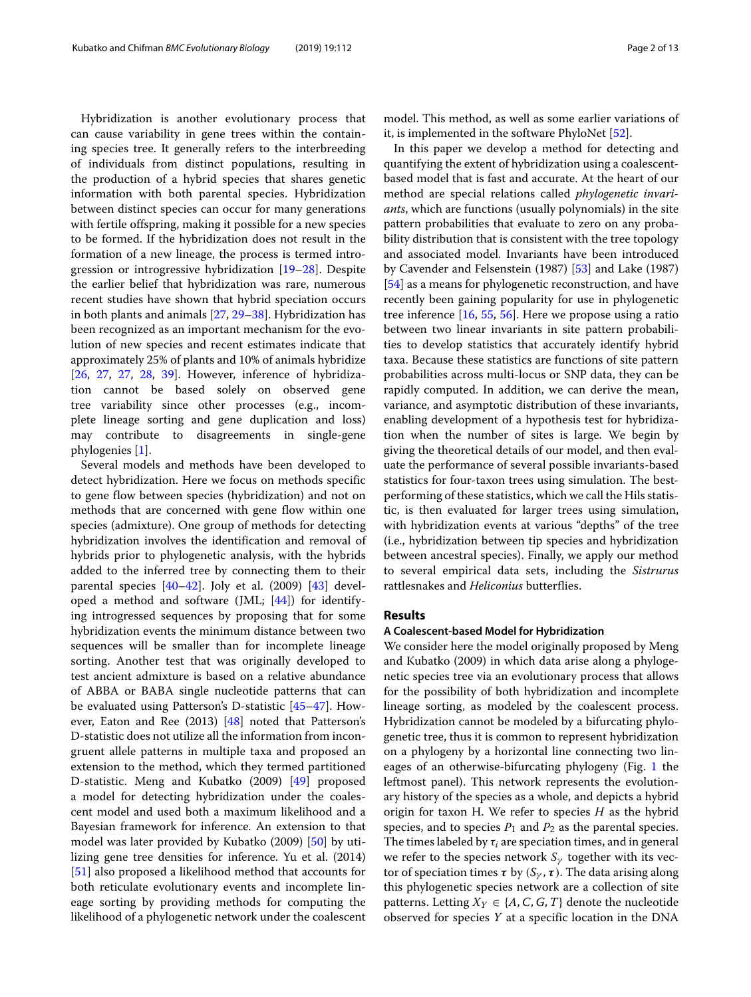Hybridization is another evolutionary process that can cause variability in gene trees within the containing species tree. It generally refers to the interbreeding of individuals from distinct populations, resulting in the production of a hybrid species that shares genetic information with both parental species. Hybridization between distinct species can occur for many generations with fertile offspring, making it possible for a new species to be formed. If the hybridization does not result in the formation of a new lineage, the process is termed introgression or introgressive hybridization [\[19–](#page-11-13)[28\]](#page-12-0). Despite the earlier belief that hybridization was rare, numerous recent studies have shown that hybrid speciation occurs in both plants and animals [\[27,](#page-12-1) [29–](#page-12-2)[38\]](#page-12-3). Hybridization has been recognized as an important mechanism for the evolution of new species and recent estimates indicate that approximately 25% of plants and 10% of animals hybridize [\[26,](#page-12-4) [27,](#page-12-1) [27,](#page-12-1) [28,](#page-12-0) [39\]](#page-12-5). However, inference of hybridization cannot be based solely on observed gene tree variability since other processes (e.g., incomplete lineage sorting and gene duplication and loss) may contribute to disagreements in single-gene phylogenies [\[1\]](#page-11-0).

Several models and methods have been developed to detect hybridization. Here we focus on methods specific to gene flow between species (hybridization) and not on methods that are concerned with gene flow within one species (admixture). One group of methods for detecting hybridization involves the identification and removal of hybrids prior to phylogenetic analysis, with the hybrids added to the inferred tree by connecting them to their parental species  $[40-42]$  $[40-42]$ . Joly et al. (2009)  $[43]$  developed a method and software (JML; [\[44\]](#page-12-9)) for identifying introgressed sequences by proposing that for some hybridization events the minimum distance between two sequences will be smaller than for incomplete lineage sorting. Another test that was originally developed to test ancient admixture is based on a relative abundance of ABBA or BABA single nucleotide patterns that can be evaluated using Patterson's D-statistic [\[45](#page-12-10)[–47\]](#page-12-11). However, Eaton and Ree (2013) [\[48\]](#page-12-12) noted that Patterson's D-statistic does not utilize all the information from incongruent allele patterns in multiple taxa and proposed an extension to the method, which they termed partitioned D-statistic. Meng and Kubatko (2009) [\[49\]](#page-12-13) proposed a model for detecting hybridization under the coalescent model and used both a maximum likelihood and a Bayesian framework for inference. An extension to that model was later provided by Kubatko (2009) [\[50\]](#page-12-14) by utilizing gene tree densities for inference. Yu et al. (2014) [\[51\]](#page-12-15) also proposed a likelihood method that accounts for both reticulate evolutionary events and incomplete lineage sorting by providing methods for computing the likelihood of a phylogenetic network under the coalescent

model. This method, as well as some earlier variations of it, is implemented in the software PhyloNet [\[52\]](#page-12-16).

In this paper we develop a method for detecting and quantifying the extent of hybridization using a coalescentbased model that is fast and accurate. At the heart of our method are special relations called *phylogenetic invariants*, which are functions (usually polynomials) in the site pattern probabilities that evaluate to zero on any probability distribution that is consistent with the tree topology and associated model. Invariants have been introduced by Cavender and Felsenstein (1987) [\[53\]](#page-12-17) and Lake (1987) [\[54\]](#page-12-18) as a means for phylogenetic reconstruction, and have recently been gaining popularity for use in phylogenetic tree inference [\[16,](#page-11-10) [55,](#page-12-19) [56\]](#page-12-20). Here we propose using a ratio between two linear invariants in site pattern probabilities to develop statistics that accurately identify hybrid taxa. Because these statistics are functions of site pattern probabilities across multi-locus or SNP data, they can be rapidly computed. In addition, we can derive the mean, variance, and asymptotic distribution of these invariants, enabling development of a hypothesis test for hybridization when the number of sites is large. We begin by giving the theoretical details of our model, and then evaluate the performance of several possible invariants-based statistics for four-taxon trees using simulation. The bestperforming of these statistics, which we call the Hils statistic, is then evaluated for larger trees using simulation, with hybridization events at various "depths" of the tree (i.e., hybridization between tip species and hybridization between ancestral species). Finally, we apply our method to several empirical data sets, including the *Sistrurus* rattlesnakes and *Heliconius* butterflies.

## **Results**

## **A Coalescent-based Model for Hybridization**

We consider here the model originally proposed by Meng and Kubatko (2009) in which data arise along a phylogenetic species tree via an evolutionary process that allows for the possibility of both hybridization and incomplete lineage sorting, as modeled by the coalescent process. Hybridization cannot be modeled by a bifurcating phylogenetic tree, thus it is common to represent hybridization on a phylogeny by a horizontal line connecting two lineages of an otherwise-bifurcating phylogeny (Fig. [1](#page-2-0) the leftmost panel). This network represents the evolutionary history of the species as a whole, and depicts a hybrid origin for taxon H. We refer to species *H* as the hybrid species, and to species  $P_1$  and  $P_2$  as the parental species. The times labeled by  $\tau_i$  are speciation times, and in general we refer to the species network  $S_{\gamma}$  together with its vector of speciation times  $\tau$  by  $(S_{\gamma}, \tau)$ . The data arising along this phylogenetic species network are a collection of site patterns. Letting  $X_Y \in \{A, C, G, T\}$  denote the nucleotide observed for species *Y* at a specific location in the DNA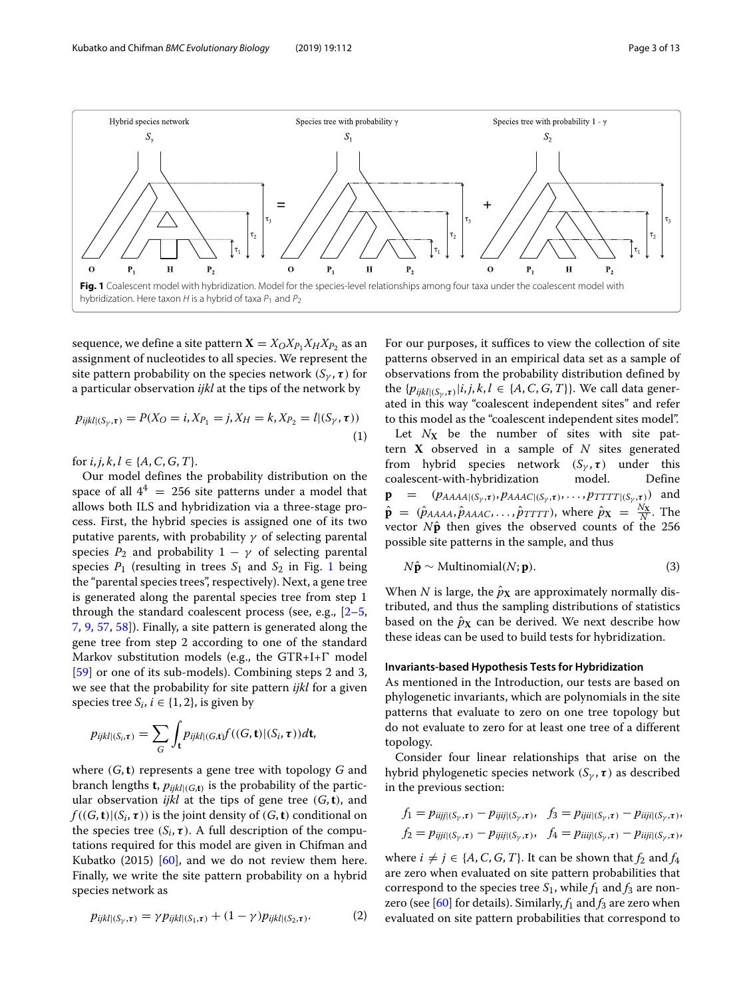

<span id="page-2-0"></span>sequence, we define a site pattern  $\mathbf{X} = X_0 X_{P_1} X_{H} X_{P_2}$  as an assignment of nucleotides to all species. We represent the site pattern probability on the species network  $(S_{\gamma}, \tau)$  for a particular observation *ijkl* at the tips of the network by

$$
p_{ijkl|(S_{\gamma},\tau)} = P(X_O = i, X_{P_1} = j, X_H = k, X_{P_2} = l|(S_{\gamma}, \tau))
$$
\n(1)

for  $i, j, k, l \in \{A, C, G, T\}.$ 

Our model defines the probability distribution on the space of all  $4^4 = 256$  site patterns under a model that allows both ILS and hybridization via a three-stage process. First, the hybrid species is assigned one of its two putative parents, with probability  $\gamma$  of selecting parental species  $P_2$  and probability  $1 - \gamma$  of selecting parental species  $P_1$  $P_1$  (resulting in trees  $S_1$  and  $S_2$  in Fig. 1 being the "parental species trees", respectively). Next, a gene tree is generated along the parental species tree from step 1 through the standard coalescent process (see, e.g., [\[2](#page-11-1)[–5,](#page-11-3) [7,](#page-11-14) [9,](#page-11-15) [57,](#page-12-21) [58\]](#page-12-22)). Finally, a site pattern is generated along the gene tree from step 2 according to one of the standard Markov substitution models (e.g., the  $GTR+I+\Gamma$  model [\[59\]](#page-12-23) or one of its sub-models). Combining steps 2 and 3, we see that the probability for site pattern *ijkl* for a given species tree  $S_i$ ,  $i \in \{1, 2\}$ , is given by

$$
p_{ijkl|(S_i,\tau)} = \sum_{G} \int_{\mathbf{t}} p_{ijkl|(G,\mathbf{t})} f((G,\mathbf{t})|(S_i,\tau)) d\mathbf{t},
$$

where (*G*,**t**) represents a gene tree with topology *G* and branch lengths **t**,  $p_{ijkl|(G,\mathbf{t})}$  is the probability of the particular observation *ijkl* at the tips of gene tree (*G*,**t**), and  $f((G, \mathbf{t})|(S_i, \tau))$  is the joint density of  $(G, \mathbf{t})$  conditional on the species tree  $(S_i, \tau)$ . A full description of the computations required for this model are given in Chifman and Kubatko (2015) [\[60\]](#page-12-24), and we do not review them here. Finally, we write the site pattern probability on a hybrid species network as

$$
p_{ijkl|(S_{\gamma},\tau)} = \gamma p_{ijkl|(S_1,\tau)} + (1-\gamma)p_{ijkl|(S_2,\tau)}.
$$
 (2)

For our purposes, it suffices to view the collection of site patterns observed in an empirical data set as a sample of observations from the probability distribution defined by the  $\{p_{ijkl|(S_v,\tau)}|i,j,k,l \in \{A,C,G,T\}\}\$ . We call data generated in this way "coalescent independent sites" and refer to this model as the "coalescent independent sites model". Let  $N_X$  be the number of sites with site pattern **X** observed in a sample of *N* sites generated from hybrid species network  $(S_{\gamma}, \tau)$  under this coalescent-with-hybridization model. Define  $\mathbf{p}$  = ( $p_{AAA}$ <sub>( $(S_{\gamma}, \tau)$ </sub>,  $p_{AAA}$ <sub> $C$ </sub> $(S_{\gamma}, \tau)$ , ...,  $p_{TTTT}$ <sub> $(C_{\gamma}, \tau)$ </sub>) and  $\hat{\mathbf{p}} = (\hat{p}_{AAAA}, \hat{p}_{AAAC}, \dots, \hat{p}_{TTTT})$ , where  $\hat{p}_{\mathbf{X}} = \frac{N_{\mathbf{X}}}{N}$ . The vector  $N\hat{p}$  then gives the observed counts of the 256 possible site patterns in the sample, and thus

$$
N\hat{\mathbf{p}} \sim \text{Multinomial}(N; \mathbf{p}).\tag{3}
$$

When *N* is large, the  $\hat{p}_X$  are approximately normally distributed, and thus the sampling distributions of statistics based on the  $\hat{p}_X$  can be derived. We next describe how these ideas can be used to build tests for hybridization.

#### **Invariants-based Hypothesis Tests for Hybridization**

As mentioned in the Introduction, our tests are based on phylogenetic invariants, which are polynomials in the site patterns that evaluate to zero on one tree topology but do not evaluate to zero for at least one tree of a different topology.

Consider four linear relationships that arise on the hybrid phylogenetic species network  $(S_{\gamma}, \tau)$  as described in the previous section:

$$
f_1 = p_{iijj|(S_\gamma,\tau)} - p_{ijij|(S_\gamma,\tau)}, \quad f_3 = p_{ijii|(S_\gamma,\tau)} - p_{iiji|(S_\gamma,\tau)},
$$
  

$$
f_2 = p_{ijji|(S_\gamma,\tau)} - p_{ijij|(S_\gamma,\tau)}, \quad f_4 = p_{iiij|(S_\gamma,\tau)} - p_{ijji|(S_\gamma,\tau)},
$$

where  $i \neq j \in \{A, C, G, T\}$ . It can be shown that  $f_2$  and  $f_4$ are zero when evaluated on site pattern probabilities that correspond to the species tree  $S_1$ , while  $f_1$  and  $f_3$  are nonzero (see  $[60]$  for details). Similarly,  $f_1$  and  $f_3$  are zero when evaluated on site pattern probabilities that correspond to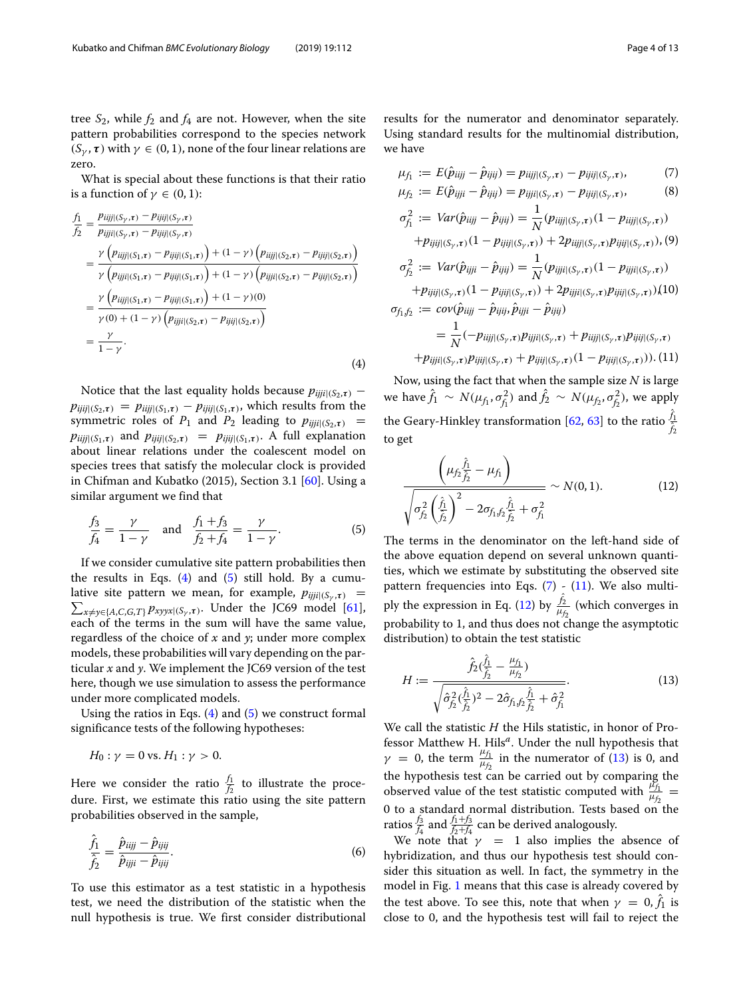tree  $S_2$ , while  $f_2$  and  $f_4$  are not. However, when the site pattern probabilities correspond to the species network  $(S_{\gamma}, \tau)$  with  $\gamma \in (0, 1)$ , none of the four linear relations are zero.

<span id="page-3-0"></span>What is special about these functions is that their ratio is a function of  $\gamma \in (0, 1)$ :

$$
\frac{f_1}{f_2} = \frac{p_{ijjj|(S_\gamma,\tau)} - p_{ijij|(S_\gamma,\tau)}}{p_{ijji|(S_1,\tau)} - p_{ijij|(S_\gamma,\tau)}} \n= \frac{\gamma \left( p_{ijjj|(S_1,\tau)} - p_{ijij|(S_1,\tau)} \right) + (1 - \gamma) \left( p_{ijjj|(S_2,\tau)} - p_{ijij|(S_2,\tau)} \right)}{\gamma \left( p_{ijji|(S_1,\tau)} - p_{ijij|(S_1,\tau)} \right) + (1 - \gamma) \left( p_{ijji|(S_2,\tau)} - p_{ijij|(S_2,\tau)} \right)} \n= \frac{\gamma \left( p_{ijjj|(S_1,\tau)} - p_{ijij|(S_1,\tau)} \right) + (1 - \gamma)(0)}{\gamma(0) + (1 - \gamma) \left( p_{ijji|(S_2,\tau)} - p_{ijij|(S_2,\tau)} \right)} \n= \frac{\gamma}{1 - \gamma}.
$$
\n(4)

Notice that the last equality holds because  $p_{ijji|(S_2,\tau)}$  –  $p_{ijij|(S_2,\tau)} = p_{ijjj|(S_1,\tau)} - p_{ijij|(S_1,\tau)}$ , which results from the symmetric roles of  $P_1$  and  $P_2$  leading to  $p_{ijji|(S_2,\tau)}$  =  $pi_{ijj|S_1,\tau}$  and  $pi_{ijj|S_2,\tau}$  =  $pi_{ij|S_1,\tau}$ . A full explanation about linear relations under the coalescent model on species trees that satisfy the molecular clock is provided in Chifman and Kubatko (2015), Section 3.1 [\[60\]](#page-12-24). Using a similar argument we find that

<span id="page-3-1"></span>
$$
\frac{f_3}{f_4} = \frac{\gamma}{1 - \gamma} \quad \text{and} \quad \frac{f_1 + f_3}{f_2 + f_4} = \frac{\gamma}{1 - \gamma}.
$$
 (5)

If we consider cumulative site pattern probabilities then the results in Eqs.  $(4)$  and  $(5)$  still hold. By a cumu- $\sum_{x \neq y \in \{A, C, G, T\}} p_{xyyx|(S_y, \tau)}$ . Under the JC69 model [\[61\]](#page-12-25), lative site pattern we mean, for example,  $p_{ijij}$ <sub>( $(S_{\nu}, \tau)$ </sub> = each of the terms in the sum will have the same value, regardless of the choice of *x* and *y*; under more complex models, these probabilities will vary depending on the particular *x* and *y*. We implement the JC69 version of the test here, though we use simulation to assess the performance under more complicated models.

Using the ratios in Eqs.  $(4)$  and  $(5)$  we construct formal significance tests of the following hypotheses:

$$
H_0: \gamma = 0 \text{ vs. } H_1: \gamma > 0.
$$

Here we consider the ratio  $\frac{f_1}{f_2}$  to illustrate the procedure. First, we estimate this ratio using the site pattern probabilities observed in the sample,

$$
\frac{\hat{f}_1}{\hat{f}_2} = \frac{\hat{p}_{iijj} - \hat{p}_{ijij}}{\hat{p}_{ijji} - \hat{p}_{ijij}}.
$$
\n(6)

To use this estimator as a test statistic in a hypothesis test, we need the distribution of the statistic when the null hypothesis is true. We first consider distributional results for the numerator and denominator separately. Using standard results for the multinomial distribution, we have

<span id="page-3-2"></span>
$$
\mu_{f_1} := E(\hat{p}_{iijj} - \hat{p}_{ijij}) = p_{iijj|(S_\gamma, \tau)} - p_{ijij|(S_\gamma, \tau)},\tag{7}
$$

$$
\mu_{f_2} := E(\hat{p}_{ijji} - \hat{p}_{ijij}) = p_{ijji|(S_\gamma, \tau)} - p_{ijij|(S_\gamma, \tau)}, \tag{8}
$$

$$
\sigma_{f_1}^2 := Var(\hat{p}_{iijj} - \hat{p}_{ijij}) = \frac{1}{N}(p_{iijj|(S_{\gamma},\tau)}(1 - p_{iijj|(S_{\gamma},\tau)})
$$
  
+  $p_{ijij|(S_{\gamma},\tau)}(1 - p_{ijij|(S_{\gamma},\tau)}) + 2p_{iijj|(S_{\gamma},\tau)}p_{ijij|(S_{\gamma},\tau)}), (9)$   

$$
\sigma_{f_2}^2 := Var(\hat{p}_{ijji} - \hat{p}_{ijij}) = \frac{1}{N}(p_{ijji|(S_{\gamma},\tau)}(1 - p_{ijji|(S_{\gamma},\tau)})
$$
  
+  $p_{ijij|(S_{\gamma},\tau)}(1 - p_{ijij|(S_{\gamma},\tau)}) + 2p_{ijji|(S_{\gamma},\tau)}p_{ijij|(S_{\gamma},\tau)}), (10)$   
 $\sigma_{f_1, f_2} := cov(\hat{p}_{iijj} - \hat{p}_{ijij}, \hat{p}_{ijji} - \hat{p}_{ijij})$   

$$
= \frac{1}{N}(-p_{iijj|(S_{\gamma},\tau)}p_{ijji|(S_{\gamma},\tau)} + p_{ijij|(S_{\gamma},\tau)}(1 - p_{ijij|(S_{\gamma},\tau)})). (11)
$$

Now, using the fact that when the sample size *N* is large we have  $\hat{f}_1 \sim N(\mu_{f_1}, \sigma_{f_1}^2)$  and  $\hat{f}_2 \sim N(\mu_{f_2}, \sigma_{f_2}^2)$ , we apply the Geary-Hinkley transformation [\[62,](#page-12-26) [63\]](#page-12-27) to the ratio  $\frac{f_1}{\hat{Z}}$ ˆ *f*2 to get

<span id="page-3-3"></span>
$$
\frac{\left(\mu_{f_2}\frac{\hat{f}_1}{\hat{f}_2} - \mu_{f_1}\right)}{\sqrt{\sigma_{f_2}^2 \left(\frac{\hat{f}_1}{\hat{f}_2}\right)^2 - 2\sigma_{f_1 f_2}\frac{\hat{f}_1}{\hat{f}_2} + \sigma_{f_1}^2}}
$$
 ~ N(0, 1). (12)

The terms in the denominator on the left-hand side of the above equation depend on several unknown quantities, which we estimate by substituting the observed site pattern frequencies into Eqs.  $(7)$  -  $(11)$ . We also multi-ply the expression in Eq. [\(12\)](#page-3-3) by  $\frac{f_2}{\mu}$  $\frac{J_2}{\mu_{f_2}}$  (which converges in probability to 1, and thus does not change the asymptotic distribution) to obtain the test statistic

<span id="page-3-4"></span>
$$
H := \frac{\hat{f}_2(\frac{\hat{f}_1}{\hat{f}_2} - \frac{\mu_{f_1}}{\mu_{f_2}})}{\sqrt{\hat{\sigma}_{f_2}^2(\frac{\hat{f}_1}{\hat{f}_2})^2 - 2\hat{\sigma}_{f_1, f_2}\frac{\hat{f}_1}{\hat{f}_2} + \hat{\sigma}_{f_1}^2}}.
$$
(13)

We call the statistic *H* the Hils statistic, in honor of Professor Matthew H. Hils<sup>a</sup>. Under the null hypothesis that  $\gamma = 0$ , the term  $\frac{\mu_{f_1}}{\mu_{f_2}}$  in the numerator of [\(13\)](#page-3-4) is 0, and the hypothesis test can be carried out by comparing the observed value of the test statistic computed with  $\frac{\beta_{f_1}}{\mu_{f_2}}$ 0 to a standard normal distribution. Tests based on the ratios  $\frac{f_3}{f_4}$  and  $\frac{f_1+f_3}{f_2+f_4}$  can be derived analogously.

We note that  $\gamma = 1$  also implies the absence of hybridization, and thus our hypothesis test should consider this situation as well. In fact, the symmetry in the model in Fig. [1](#page-2-0) means that this case is already covered by the test above. To see this, note that when  $\gamma = 0, f_1$  is close to 0, and the hypothesis test will fail to reject the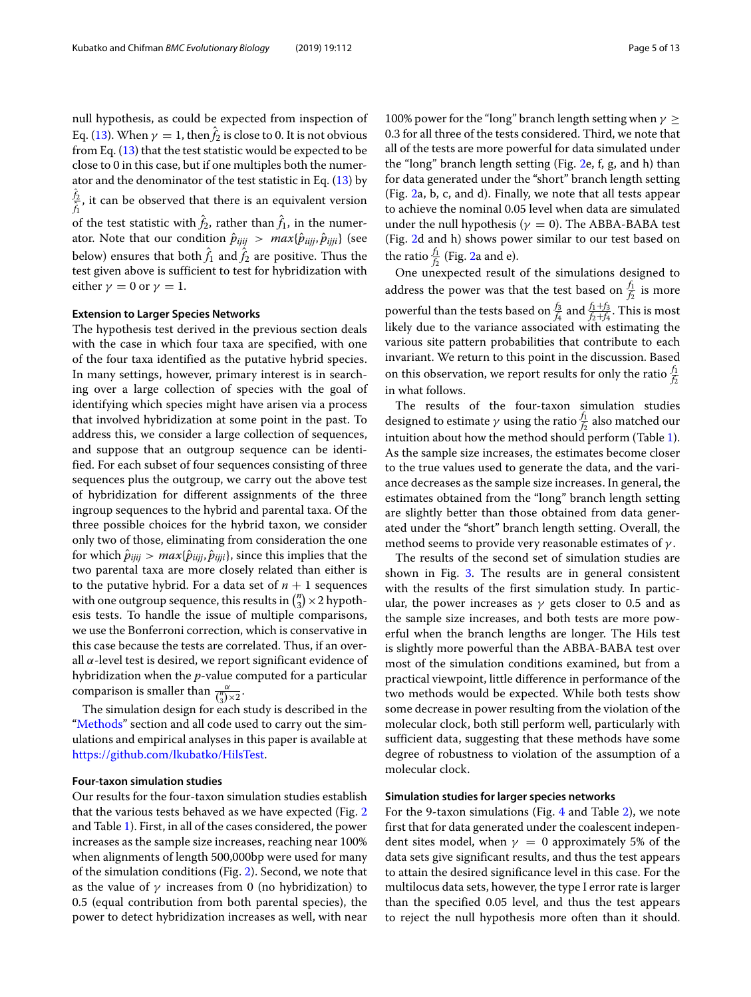null hypothesis, as could be expected from inspection of Eq. [\(13\)](#page-3-4). When  $\gamma = 1$ , then  $f_2$  is close to 0. It is not obvious from Eq.  $(13)$  that the test statistic would be expected to be close to 0 in this case, but if one multiples both the numerator and the denominator of the test statistic in Eq.  $(13)$  by ˆ *f*2  $\frac{f_2}{f_1}$ , it can be observed that there is an equivalent version of the test statistic with  $f_2$ , rather than  $f_1$ , in the numerator. Note that our condition *p*ˆ*ijij* > *max*{*p*ˆ*iijj*, *p*ˆ*ijji*} (see below) ensures that both  $f_1$  and  $f_2$  are positive. Thus the test given above is sufficient to test for hybridization with either  $\gamma = 0$  or  $\gamma = 1$ .

#### **Extension to Larger Species Networks**

The hypothesis test derived in the previous section deals with the case in which four taxa are specified, with one of the four taxa identified as the putative hybrid species. In many settings, however, primary interest is in searching over a large collection of species with the goal of identifying which species might have arisen via a process that involved hybridization at some point in the past. To address this, we consider a large collection of sequences, and suppose that an outgroup sequence can be identified. For each subset of four sequences consisting of three sequences plus the outgroup, we carry out the above test of hybridization for different assignments of the three ingroup sequences to the hybrid and parental taxa. Of the three possible choices for the hybrid taxon, we consider only two of those, eliminating from consideration the one for which  $\hat{p}_{ijij} > max\{\hat{p}_{ijji}, \hat{p}_{ijji}\}$ , since this implies that the two parental taxa are more closely related than either is to the putative hybrid. For a data set of  $n + 1$  sequences with one outgroup sequence, this results in  $\binom{n}{3}$  × 2 hypothesis tests. To handle the issue of multiple comparisons, we use the Bonferroni correction, which is conservative in this case because the tests are correlated. Thus, if an overall  $\alpha$ -level test is desired, we report significant evidence of hybridization when the *p*-value computed for a particular comparison is smaller than  $\frac{\alpha}{\binom{n}{3} \times 2}$ .

The simulation design for each study is described in the ["Methods"](#page-9-0) section and all code used to carry out the simulations and empirical analyses in this paper is available at [https://github.com/lkubatko/HilsTest.](https://github.com/lkubatko/HilsTest)

#### **Four-taxon simulation studies**

Our results for the four-taxon simulation studies establish that the various tests behaved as we have expected (Fig. [2](#page-5-0) and Table [1\)](#page-5-1). First, in all of the cases considered, the power increases as the sample size increases, reaching near 100% when alignments of length 500,000bp were used for many of the simulation conditions (Fig. [2\)](#page-5-0). Second, we note that as the value of  $\gamma$  increases from 0 (no hybridization) to 0.5 (equal contribution from both parental species), the power to detect hybridization increases as well, with near 100% power for the "long" branch length setting when  $\gamma \geq 1$ 

0.3 for all three of the tests considered. Third, we note that all of the tests are more powerful for data simulated under the "long" branch length setting (Fig. [2e](#page-5-0), f, g, and h) than for data generated under the "short" branch length setting (Fig. [2a](#page-5-0), b, c, and d). Finally, we note that all tests appear to achieve the nominal 0.05 level when data are simulated under the null hypothesis ( $\gamma = 0$ ). The ABBA-BABA test (Fig. [2d](#page-5-0) and h) shows power similar to our test based on the ratio $\frac{f_1}{f_2}$  (Fig. [2a](#page-5-0) and e).

One unexpected result of the simulations designed to address the power was that the test based on  $\frac{f_1}{f_2}$  is more powerful than the tests based on  $\frac{f_3}{f_4}$  and  $\frac{f_1+f_3}{f_2+f_4}$ . This is most likely due to the variance associated with estimating the various site pattern probabilities that contribute to each invariant. We return to this point in the discussion. Based on this observation, we report results for only the ratio  $\frac{f_1}{f_2}$ in what follows.

The results of the four-taxon simulation studies designed to estimate  $\gamma$  using the ratio $\frac{f_1}{f_2}$  also matched our intuition about how the method should perform (Table [1\)](#page-5-1). As the sample size increases, the estimates become closer to the true values used to generate the data, and the variance decreases as the sample size increases. In general, the estimates obtained from the "long" branch length setting are slightly better than those obtained from data generated under the "short" branch length setting. Overall, the method seems to provide very reasonable estimates of  $\gamma$ .

The results of the second set of simulation studies are shown in Fig. [3.](#page-6-0) The results are in general consistent with the results of the first simulation study. In particular, the power increases as  $\gamma$  gets closer to 0.5 and as the sample size increases, and both tests are more powerful when the branch lengths are longer. The Hils test is slightly more powerful than the ABBA-BABA test over most of the simulation conditions examined, but from a practical viewpoint, little difference in performance of the two methods would be expected. While both tests show some decrease in power resulting from the violation of the molecular clock, both still perform well, particularly with sufficient data, suggesting that these methods have some degree of robustness to violation of the assumption of a molecular clock.

#### **Simulation studies for larger species networks**

For the 9-taxon simulations (Fig. [4](#page-7-0) and Table [2\)](#page-8-0), we note first that for data generated under the coalescent independent sites model, when  $\gamma = 0$  approximately 5% of the data sets give significant results, and thus the test appears to attain the desired significance level in this case. For the multilocus data sets, however, the type I error rate is larger than the specified 0.05 level, and thus the test appears to reject the null hypothesis more often than it should.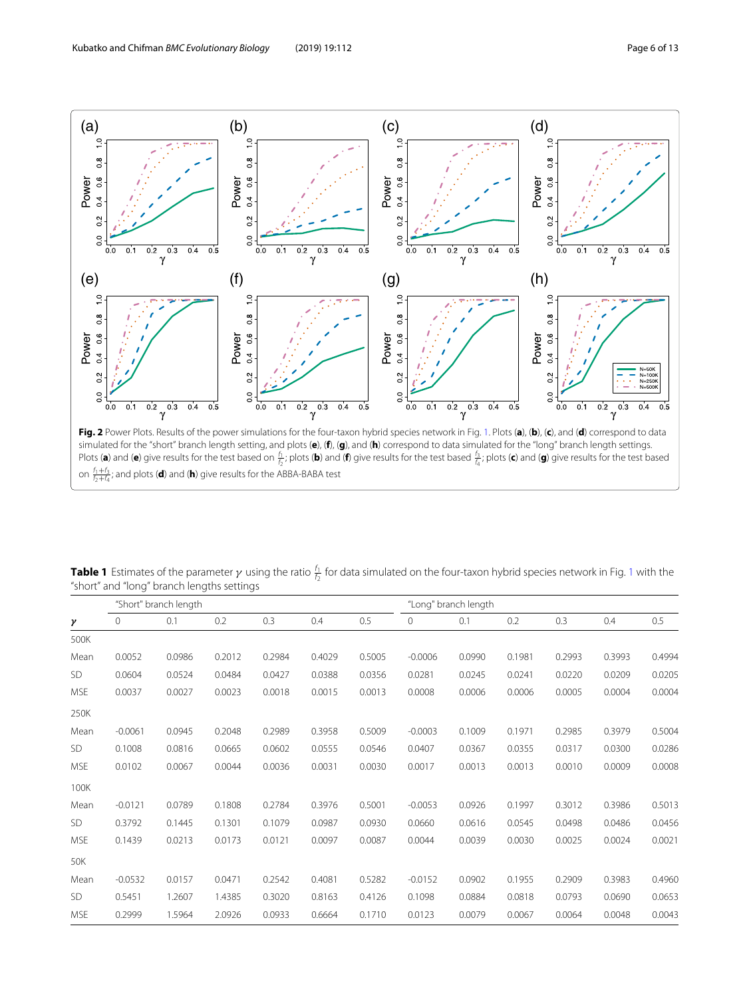

<span id="page-5-0"></span>on  $\frac{f_1+f_3}{f_2+f_4}$ ; and plots (**d**) and (**h**) give results for the ABBA-BABA test

<span id="page-5-1"></span>**Table [1](#page-2-0)** Estimates of the parameter γ using the ratio  $\frac{f_1}{f_2}$  for data simulated on the four-taxon hybrid species network in Fig. 1 with the "short" and "long" branch lengths settings

|                       | "Short" branch length |        |        |        |        |        | "Long" branch length |        |        |        |        |        |
|-----------------------|-----------------------|--------|--------|--------|--------|--------|----------------------|--------|--------|--------|--------|--------|
| $\boldsymbol{\gamma}$ | $\Omega$              | 0.1    | 0.2    | 0.3    | 0.4    | 0.5    | $\mathbf{0}$         | 0.1    | 0.2    | 0.3    | 0.4    | 0.5    |
| 500K                  |                       |        |        |        |        |        |                      |        |        |        |        |        |
| Mean                  | 0.0052                | 0.0986 | 0.2012 | 0.2984 | 0.4029 | 0.5005 | $-0.0006$            | 0.0990 | 0.1981 | 0.2993 | 0.3993 | 0.4994 |
| <b>SD</b>             | 0.0604                | 0.0524 | 0.0484 | 0.0427 | 0.0388 | 0.0356 | 0.0281               | 0.0245 | 0.0241 | 0.0220 | 0.0209 | 0.0205 |
| <b>MSE</b>            | 0.0037                | 0.0027 | 0.0023 | 0.0018 | 0.0015 | 0.0013 | 0.0008               | 0.0006 | 0.0006 | 0.0005 | 0.0004 | 0.0004 |
| 250K                  |                       |        |        |        |        |        |                      |        |        |        |        |        |
| Mean                  | $-0.0061$             | 0.0945 | 0.2048 | 0.2989 | 0.3958 | 0.5009 | $-0.0003$            | 0.1009 | 0.1971 | 0.2985 | 0.3979 | 0.5004 |
| SD.                   | 0.1008                | 0.0816 | 0.0665 | 0.0602 | 0.0555 | 0.0546 | 0.0407               | 0.0367 | 0.0355 | 0.0317 | 0.0300 | 0.0286 |
| <b>MSE</b>            | 0.0102                | 0.0067 | 0.0044 | 0.0036 | 0.0031 | 0.0030 | 0.0017               | 0.0013 | 0.0013 | 0.0010 | 0.0009 | 0.0008 |
| 100K                  |                       |        |        |        |        |        |                      |        |        |        |        |        |
| Mean                  | $-0.0121$             | 0.0789 | 0.1808 | 0.2784 | 0.3976 | 0.5001 | $-0.0053$            | 0.0926 | 0.1997 | 0.3012 | 0.3986 | 0.5013 |
| <b>SD</b>             | 0.3792                | 0.1445 | 0.1301 | 0.1079 | 0.0987 | 0.0930 | 0.0660               | 0.0616 | 0.0545 | 0.0498 | 0.0486 | 0.0456 |
| <b>MSE</b>            | 0.1439                | 0.0213 | 0.0173 | 0.0121 | 0.0097 | 0.0087 | 0.0044               | 0.0039 | 0.0030 | 0.0025 | 0.0024 | 0.0021 |
| 50K                   |                       |        |        |        |        |        |                      |        |        |        |        |        |
| Mean                  | $-0.0532$             | 0.0157 | 0.0471 | 0.2542 | 0.4081 | 0.5282 | $-0.0152$            | 0.0902 | 0.1955 | 0.2909 | 0.3983 | 0.4960 |
| <b>SD</b>             | 0.5451                | 1.2607 | 1.4385 | 0.3020 | 0.8163 | 0.4126 | 0.1098               | 0.0884 | 0.0818 | 0.0793 | 0.0690 | 0.0653 |
| <b>MSE</b>            | 0.2999                | 1.5964 | 2.0926 | 0.0933 | 0.6664 | 0.1710 | 0.0123               | 0.0079 | 0.0067 | 0.0064 | 0.0048 | 0.0043 |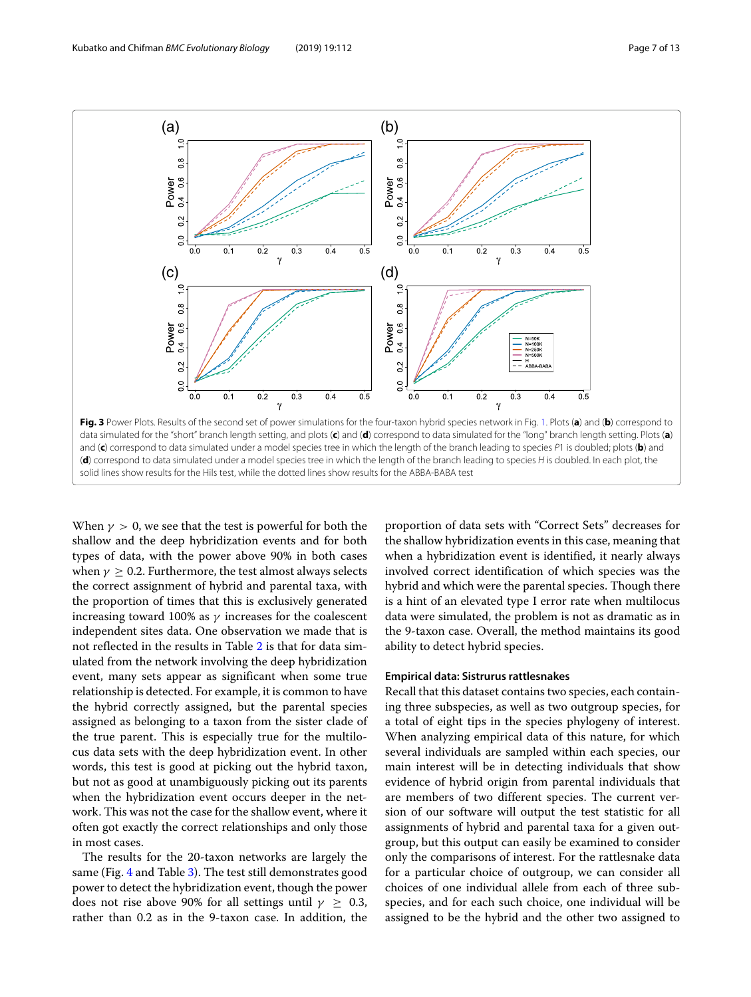

When  $\gamma > 0$ , we see that the test is powerful for both the shallow and the deep hybridization events and for both types of data, with the power above 90% in both cases when  $\gamma \geq 0.2$ . Furthermore, the test almost always selects the correct assignment of hybrid and parental taxa, with the proportion of times that this is exclusively generated increasing toward 100% as  $\gamma$  increases for the coalescent independent sites data. One observation we made that is not reflected in the results in Table [2](#page-8-0) is that for data simulated from the network involving the deep hybridization event, many sets appear as significant when some true relationship is detected. For example, it is common to have the hybrid correctly assigned, but the parental species assigned as belonging to a taxon from the sister clade of the true parent. This is especially true for the multilocus data sets with the deep hybridization event. In other words, this test is good at picking out the hybrid taxon, but not as good at unambiguously picking out its parents when the hybridization event occurs deeper in the network. This was not the case for the shallow event, where it often got exactly the correct relationships and only those in most cases.

<span id="page-6-0"></span>solid lines show results for the Hils test, while the dotted lines show results for the ABBA-BABA test

The results for the 20-taxon networks are largely the same (Fig. [4](#page-7-0) and Table [3\)](#page-8-1). The test still demonstrates good power to detect the hybridization event, though the power does not rise above 90% for all settings until  $\gamma \geq 0.3$ , rather than 0.2 as in the 9-taxon case. In addition, the

proportion of data sets with "Correct Sets" decreases for the shallow hybridization events in this case, meaning that when a hybridization event is identified, it nearly always involved correct identification of which species was the hybrid and which were the parental species. Though there is a hint of an elevated type I error rate when multilocus data were simulated, the problem is not as dramatic as in the 9-taxon case. Overall, the method maintains its good ability to detect hybrid species.

#### **Empirical data: Sistrurus rattlesnakes**

Recall that this dataset contains two species, each containing three subspecies, as well as two outgroup species, for a total of eight tips in the species phylogeny of interest. When analyzing empirical data of this nature, for which several individuals are sampled within each species, our main interest will be in detecting individuals that show evidence of hybrid origin from parental individuals that are members of two different species. The current version of our software will output the test statistic for all assignments of hybrid and parental taxa for a given outgroup, but this output can easily be examined to consider only the comparisons of interest. For the rattlesnake data for a particular choice of outgroup, we can consider all choices of one individual allele from each of three subspecies, and for each such choice, one individual will be assigned to be the hybrid and the other two assigned to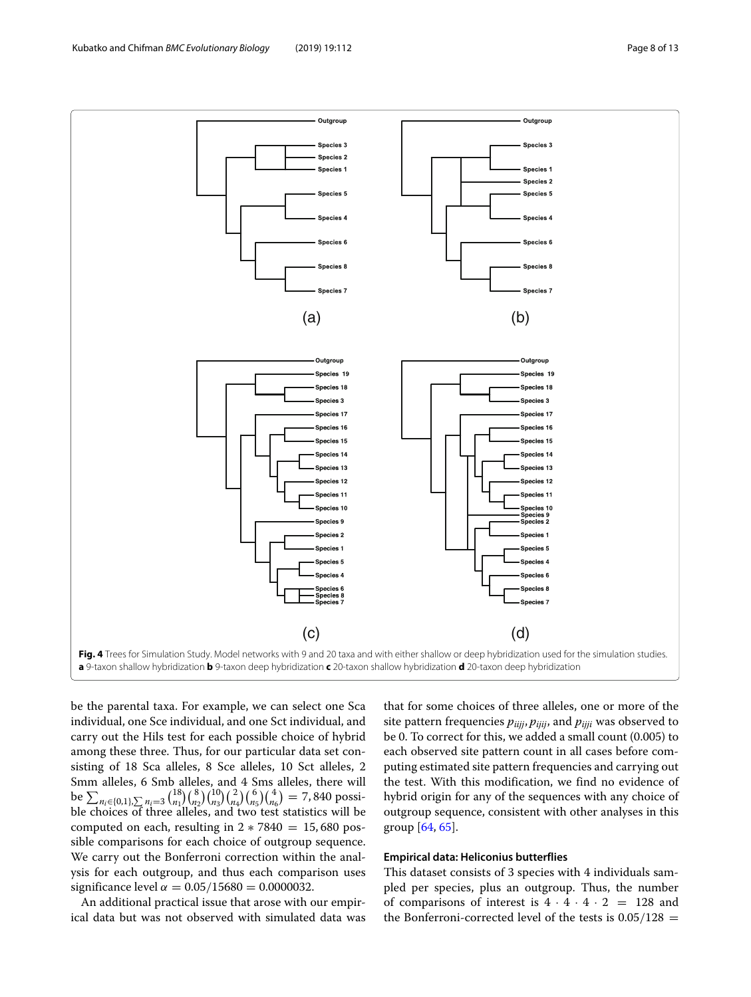

<span id="page-7-0"></span>be the parental taxa. For example, we can select one Sca individual, one Sce individual, and one Sct individual, and carry out the Hils test for each possible choice of hybrid among these three. Thus, for our particular data set consisting of 18 Sca alleles, 8 Sce alleles, 10 Sct alleles, 2 Smm alleles, 6 Smb alleles, and 4 Sms alleles, there will be  $\sum_{n_i \in \{0,1\},\sum_{i} n_i=3}$   $\binom{18}{n_1} \binom{8}{n_2} \binom{10}{n_3} \binom{2}{n_4} \binom{6}{n_5} \binom{4}{n_6} = 7,840$  possible choices of three alleles, and two test statistics will be computed on each, resulting in  $2 * 7840 = 15,680$  possible comparisons for each choice of outgroup sequence. We carry out the Bonferroni correction within the analysis for each outgroup, and thus each comparison uses significance level  $\alpha = 0.05/15680 = 0.0000032$ .

An additional practical issue that arose with our empirical data but was not observed with simulated data was that for some choices of three alleles, one or more of the site pattern frequencies *piijj*, *pijij*, and *pijji* was observed to be 0. To correct for this, we added a small count (0.005) to each observed site pattern count in all cases before computing estimated site pattern frequencies and carrying out the test. With this modification, we find no evidence of hybrid origin for any of the sequences with any choice of outgroup sequence, consistent with other analyses in this group [\[64,](#page-12-28) [65\]](#page-12-29).

## **Empirical data: Heliconius butterflies**

This dataset consists of 3 species with 4 individuals sampled per species, plus an outgroup. Thus, the number of comparisons of interest is  $4 \cdot 4 \cdot 4 \cdot 2 = 128$  and the Bonferroni-corrected level of the tests is  $0.05/128$  =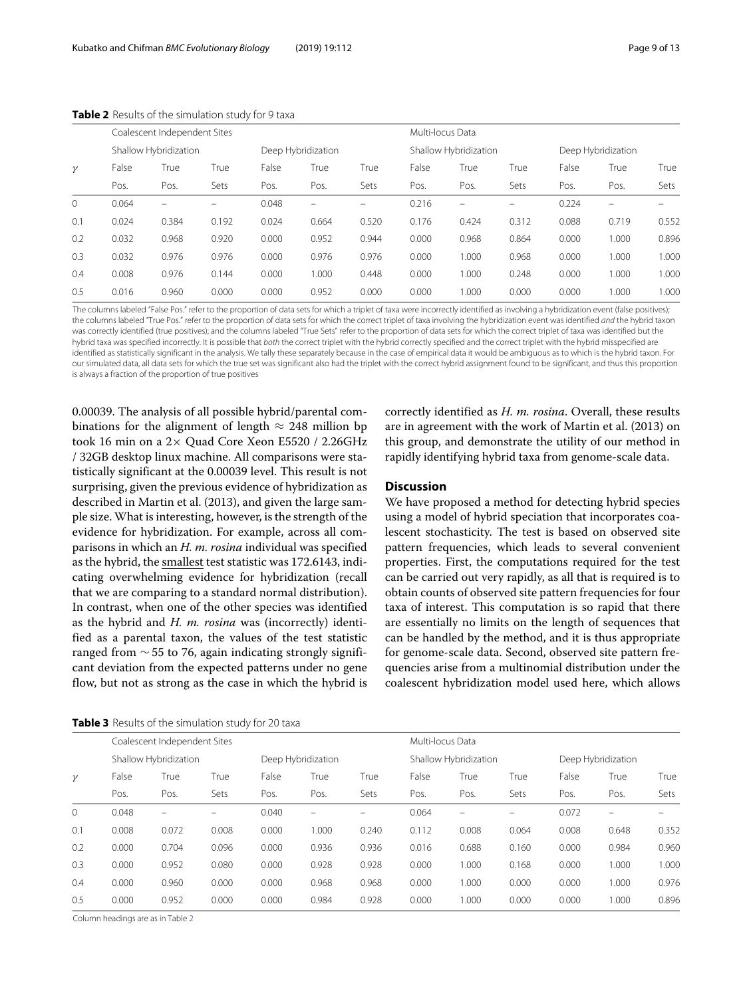|          | Coalescent Independent Sites |       |       |       |                    |       | Multi-locus Data |                       |       |       |                          |       |  |
|----------|------------------------------|-------|-------|-------|--------------------|-------|------------------|-----------------------|-------|-------|--------------------------|-------|--|
|          | Shallow Hybridization        |       |       |       | Deep Hybridization |       |                  | Shallow Hybridization |       |       | Deep Hybridization       |       |  |
| $\gamma$ | False                        | True  | True  | False | True               | True  | False            | True                  | True  | False | True                     | True  |  |
|          | Pos.                         | Pos.  | Sets  | Pos.  | Pos.               | Sets  | Pos.             | Pos.                  | Sets  | Pos.  | Pos.                     | Sets  |  |
| $\circ$  | 0.064                        |       |       | 0.048 |                    |       | 0.216            | -                     |       | 0.224 | $\overline{\phantom{0}}$ |       |  |
| 0.1      | 0.024                        | 0.384 | 0.192 | 0.024 | 0.664              | 0.520 | 0.176            | 0.424                 | 0.312 | 0.088 | 0.719                    | 0.552 |  |
| 0.2      | 0.032                        | 0.968 | 0.920 | 0.000 | 0.952              | 0.944 | 0.000            | 0.968                 | 0.864 | 0.000 | 1.000                    | 0.896 |  |
| 0.3      | 0.032                        | 0.976 | 0.976 | 0.000 | 0.976              | 0.976 | 0.000            | 1.000                 | 0.968 | 0.000 | 1.000                    | 1.000 |  |
| 0.4      | 0.008                        | 0.976 | 0.144 | 0.000 | 1.000              | 0.448 | 0.000            | 1.000                 | 0.248 | 0.000 | 1.000                    | 1.000 |  |
| 0.5      | 0.016                        | 0.960 | 0.000 | 0.000 | 0.952              | 0.000 | 0.000            | 1.000                 | 0.000 | 0.000 | 1.000                    | 1.000 |  |

<span id="page-8-0"></span>**Table 2** Results of the simulation study for 9 taxa

The columns labeled "False Pos." refer to the proportion of data sets for which a triplet of taxa were incorrectly identified as involving a hybridization event (false positives); the columns labeled "True Pos." refer to the proportion of data sets for which the correct triplet of taxa involving the hybridization event was identified and the hybrid taxon was correctly identified (true positives); and the columns labeled "True Sets" refer to the proportion of data sets for which the correct triplet of taxa was identified but the hybrid taxa was specified incorrectly. It is possible that both the correct triplet with the hybrid correctly specified and the correct triplet with the hybrid misspecified are identified as statistically significant in the analysis. We tally these separately because in the case of empirical data it would be ambiguous as to which is the hybrid taxon. For our simulated data, all data sets for which the true set was significant also had the triplet with the correct hybrid assignment found to be significant, and thus this proportion is always a fraction of the proportion of true positives

0.00039. The analysis of all possible hybrid/parental combinations for the alignment of length  $\approx$  248 million bp took 16 min on a 2× Quad Core Xeon E5520 / 2.26GHz / 32GB desktop linux machine. All comparisons were statistically significant at the 0.00039 level. This result is not surprising, given the previous evidence of hybridization as described in Martin et al. (2013), and given the large sample size. What is interesting, however, is the strength of the evidence for hybridization. For example, across all comparisons in which an *H. m. rosina* individual was specified as the hybrid, the smallest test statistic was 172.6143, indicating overwhelming evidence for hybridization (recall that we are comparing to a standard normal distribution). In contrast, when one of the other species was identified as the hybrid and *H. m. rosina* was (incorrectly) identified as a parental taxon, the values of the test statistic ranged from  $\sim$  55 to 76, again indicating strongly significant deviation from the expected patterns under no gene flow, but not as strong as the case in which the hybrid is

**Table 3** Results of the simulation study for 20 taxa

correctly identified as *H. m. rosina*. Overall, these results are in agreement with the work of Martin et al. (2013) on this group, and demonstrate the utility of our method in rapidly identifying hybrid taxa from genome-scale data.

## **Discussion**

We have proposed a method for detecting hybrid species using a model of hybrid speciation that incorporates coalescent stochasticity. The test is based on observed site pattern frequencies, which leads to several convenient properties. First, the computations required for the test can be carried out very rapidly, as all that is required is to obtain counts of observed site pattern frequencies for four taxa of interest. This computation is so rapid that there are essentially no limits on the length of sequences that can be handled by the method, and it is thus appropriate for genome-scale data. Second, observed site pattern frequencies arise from a multinomial distribution under the coalescent hybridization model used here, which allows

<span id="page-8-1"></span>

|          |                       | Coalescent Independent Sites |                          |                    |                          |       |       |                          | Multi-locus Data |       |                          |       |  |  |  |
|----------|-----------------------|------------------------------|--------------------------|--------------------|--------------------------|-------|-------|--------------------------|------------------|-------|--------------------------|-------|--|--|--|
|          | Shallow Hybridization |                              |                          | Deep Hybridization |                          |       |       | Shallow Hybridization    |                  |       | Deep Hybridization       |       |  |  |  |
| $\gamma$ | False                 | True                         | True                     | False              | True                     | True  | False | True                     | True             | False | True                     | True  |  |  |  |
|          | Pos.                  | Pos.                         | Sets                     | Pos.               | Pos.                     | Sets  | Pos.  | Pos.                     | Sets             | Pos.  | Pos.                     | Sets  |  |  |  |
| 0        | 0.048                 | -                            | $\overline{\phantom{0}}$ | 0.040              | $\overline{\phantom{m}}$ |       | 0.064 | $\overline{\phantom{0}}$ | -                | 0.072 | $\overline{\phantom{0}}$ |       |  |  |  |
| 0.1      | 0.008                 | 0.072                        | 0.008                    | 0.000              | 1.000                    | 0.240 | 0.112 | 0.008                    | 0.064            | 0.008 | 0.648                    | 0.352 |  |  |  |
| 0.2      | 0.000                 | 0.704                        | 0.096                    | 0.000              | 0.936                    | 0.936 | 0.016 | 0.688                    | 0.160            | 0.000 | 0.984                    | 0.960 |  |  |  |
| 0.3      | 0.000                 | 0.952                        | 0.080                    | 0.000              | 0.928                    | 0.928 | 0.000 | 1.000                    | 0.168            | 0.000 | 1.000                    | 1.000 |  |  |  |
| 0.4      | 0.000                 | 0.960                        | 0.000                    | 0.000              | 0.968                    | 0.968 | 0.000 | 1.000                    | 0.000            | 0.000 | 000.                     | 0.976 |  |  |  |
| 0.5      | 0.000                 | 0.952                        | 0.000                    | 0.000              | 0.984                    | 0.928 | 0.000 | 1.000                    | 0.000            | 0.000 | .000                     | 0.896 |  |  |  |

Column headings are as in Table [2](#page-8-0)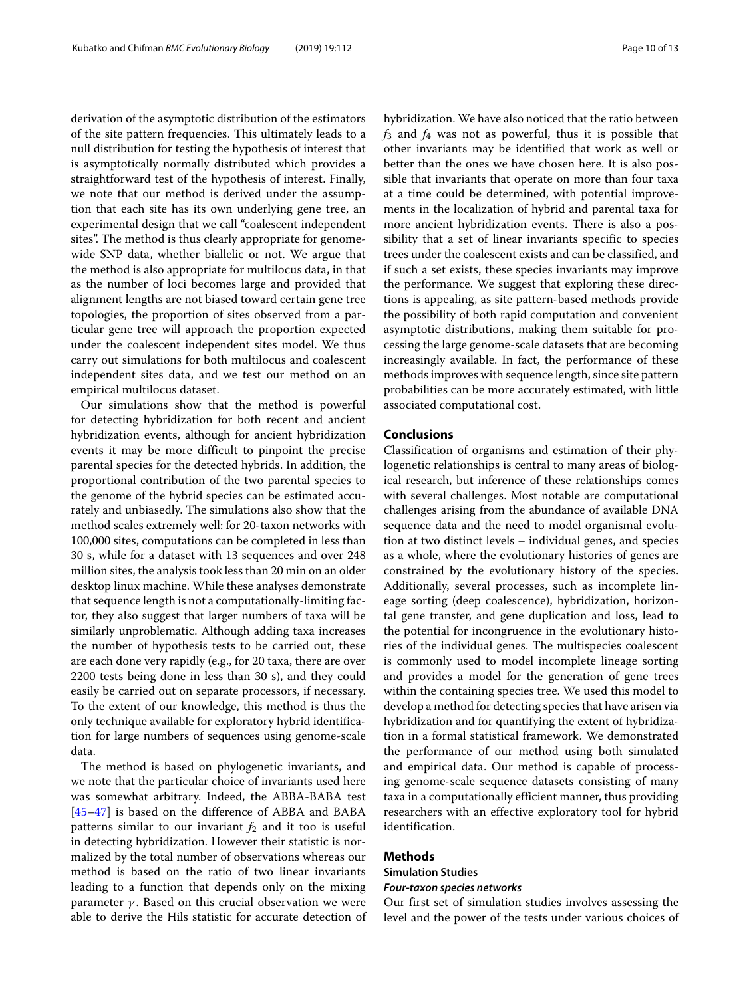derivation of the asymptotic distribution of the estimators of the site pattern frequencies. This ultimately leads to a null distribution for testing the hypothesis of interest that is asymptotically normally distributed which provides a straightforward test of the hypothesis of interest. Finally, we note that our method is derived under the assumption that each site has its own underlying gene tree, an experimental design that we call "coalescent independent sites". The method is thus clearly appropriate for genomewide SNP data, whether biallelic or not. We argue that the method is also appropriate for multilocus data, in that as the number of loci becomes large and provided that alignment lengths are not biased toward certain gene tree topologies, the proportion of sites observed from a particular gene tree will approach the proportion expected under the coalescent independent sites model. We thus carry out simulations for both multilocus and coalescent independent sites data, and we test our method on an empirical multilocus dataset.

Our simulations show that the method is powerful for detecting hybridization for both recent and ancient hybridization events, although for ancient hybridization events it may be more difficult to pinpoint the precise parental species for the detected hybrids. In addition, the proportional contribution of the two parental species to the genome of the hybrid species can be estimated accurately and unbiasedly. The simulations also show that the method scales extremely well: for 20-taxon networks with 100,000 sites, computations can be completed in less than 30 s, while for a dataset with 13 sequences and over 248 million sites, the analysis took less than 20 min on an older desktop linux machine. While these analyses demonstrate that sequence length is not a computationally-limiting factor, they also suggest that larger numbers of taxa will be similarly unproblematic. Although adding taxa increases the number of hypothesis tests to be carried out, these are each done very rapidly (e.g., for 20 taxa, there are over 2200 tests being done in less than 30 s), and they could easily be carried out on separate processors, if necessary. To the extent of our knowledge, this method is thus the only technique available for exploratory hybrid identification for large numbers of sequences using genome-scale data.

The method is based on phylogenetic invariants, and we note that the particular choice of invariants used here was somewhat arbitrary. Indeed, the ABBA-BABA test [\[45](#page-12-10)[–47\]](#page-12-11) is based on the difference of ABBA and BABA patterns similar to our invariant  $f_2$  and it too is useful in detecting hybridization. However their statistic is normalized by the total number of observations whereas our method is based on the ratio of two linear invariants leading to a function that depends only on the mixing parameter  $\gamma$ . Based on this crucial observation we were able to derive the Hils statistic for accurate detection of

hybridization. We have also noticed that the ratio between *f*<sup>3</sup> and *f*<sup>4</sup> was not as powerful, thus it is possible that other invariants may be identified that work as well or better than the ones we have chosen here. It is also possible that invariants that operate on more than four taxa at a time could be determined, with potential improvements in the localization of hybrid and parental taxa for more ancient hybridization events. There is also a possibility that a set of linear invariants specific to species trees under the coalescent exists and can be classified, and if such a set exists, these species invariants may improve the performance. We suggest that exploring these directions is appealing, as site pattern-based methods provide the possibility of both rapid computation and convenient asymptotic distributions, making them suitable for processing the large genome-scale datasets that are becoming increasingly available. In fact, the performance of these methods improves with sequence length, since site pattern probabilities can be more accurately estimated, with little associated computational cost.

## **Conclusions**

Classification of organisms and estimation of their phylogenetic relationships is central to many areas of biological research, but inference of these relationships comes with several challenges. Most notable are computational challenges arising from the abundance of available DNA sequence data and the need to model organismal evolution at two distinct levels – individual genes, and species as a whole, where the evolutionary histories of genes are constrained by the evolutionary history of the species. Additionally, several processes, such as incomplete lineage sorting (deep coalescence), hybridization, horizontal gene transfer, and gene duplication and loss, lead to the potential for incongruence in the evolutionary histories of the individual genes. The multispecies coalescent is commonly used to model incomplete lineage sorting and provides a model for the generation of gene trees within the containing species tree. We used this model to develop a method for detecting species that have arisen via hybridization and for quantifying the extent of hybridization in a formal statistical framework. We demonstrated the performance of our method using both simulated and empirical data. Our method is capable of processing genome-scale sequence datasets consisting of many taxa in a computationally efficient manner, thus providing researchers with an effective exploratory tool for hybrid identification.

## <span id="page-9-0"></span>**Methods**

# **Simulation Studies**

# *Four-taxon species networks*

Our first set of simulation studies involves assessing the level and the power of the tests under various choices of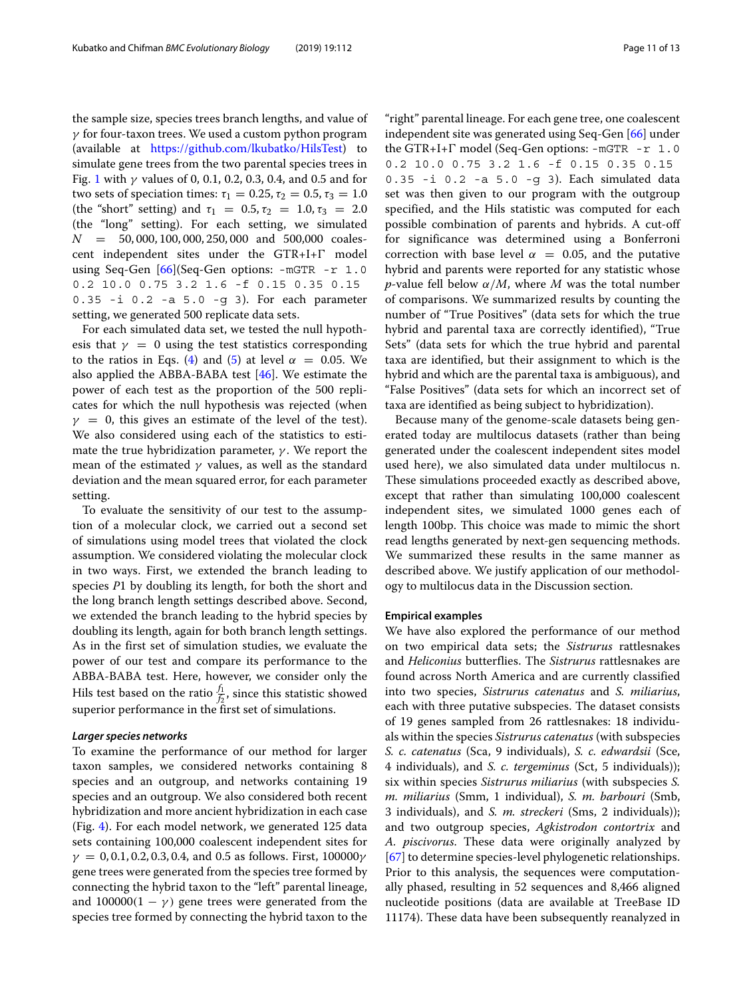the sample size, species trees branch lengths, and value of  $\gamma$  for four-taxon trees. We used a custom python program (available at [https://github.com/lkubatko/HilsTest\)](https://github.com/lkubatko/HilsTest) to simulate gene trees from the two parental species trees in Fig. [1](#page-2-0) with  $γ$  values of 0, 0.1, 0.2, 0.3, 0.4, and 0.5 and for two sets of speciation times:  $\tau_1 = 0.25$ ,  $\tau_2 = 0.5$ ,  $\tau_3 = 1.0$ (the "short" setting) and  $\tau_1 = 0.5, \tau_2 = 1.0, \tau_3 = 2.0$ (the "long" setting). For each setting, we simulated  $N = 50,000,100,000,250,000$  and 500,000 coalescent independent sites under the  $GTR+I+\Gamma$  model using Seq-Gen [\[66\]](#page-12-30)(Seq-Gen options: -mGTR -r 1.0 0.2 10.0 0.75 3.2 1.6 -f 0.15 0.35 0.15 0.35 -i 0.2 -a 5.0 -g 3). For each parameter setting, we generated 500 replicate data sets.

For each simulated data set, we tested the null hypothesis that  $\gamma = 0$  using the test statistics corresponding to the ratios in Eqs. [\(4\)](#page-3-0) and [\(5\)](#page-3-1) at level  $\alpha = 0.05$ . We also applied the ABBA-BABA test  $[46]$ . We estimate the power of each test as the proportion of the 500 replicates for which the null hypothesis was rejected (when  $\gamma = 0$ , this gives an estimate of the level of the test). We also considered using each of the statistics to estimate the true hybridization parameter,  $\gamma$ . We report the mean of the estimated  $\gamma$  values, as well as the standard deviation and the mean squared error, for each parameter setting.

To evaluate the sensitivity of our test to the assumption of a molecular clock, we carried out a second set of simulations using model trees that violated the clock assumption. We considered violating the molecular clock in two ways. First, we extended the branch leading to species *P*1 by doubling its length, for both the short and the long branch length settings described above. Second, we extended the branch leading to the hybrid species by doubling its length, again for both branch length settings. As in the first set of simulation studies, we evaluate the power of our test and compare its performance to the ABBA-BABA test. Here, however, we consider only the Hils test based on the ratio  $\frac{f_1}{f_2}$ , since this statistic showed superior performance in the first set of simulations.

#### *Larger species networks*

To examine the performance of our method for larger taxon samples, we considered networks containing 8 species and an outgroup, and networks containing 19 species and an outgroup. We also considered both recent hybridization and more ancient hybridization in each case (Fig. [4\)](#page-7-0). For each model network, we generated 125 data sets containing 100,000 coalescent independent sites for  $\gamma = 0, 0.1, 0.2, 0.3, 0.4,$  and 0.5 as follows. First, 100000 $\gamma$ gene trees were generated from the species tree formed by connecting the hybrid taxon to the "left" parental lineage, and  $100000(1 - \gamma)$  gene trees were generated from the species tree formed by connecting the hybrid taxon to the

"right" parental lineage. For each gene tree, one coalescent independent site was generated using Seq-Gen [\[66\]](#page-12-30) under the GTR+I+ $\Gamma$  model (Seq-Gen options: -mGTR -r 1.0 0.2 10.0 0.75 3.2 1.6 -f 0.15 0.35 0.15 0.35 -i 0.2 -a 5.0 -g 3). Each simulated data set was then given to our program with the outgroup specified, and the Hils statistic was computed for each possible combination of parents and hybrids. A cut-off for significance was determined using a Bonferroni correction with base level  $\alpha = 0.05$ , and the putative hybrid and parents were reported for any statistic whose *p*-value fell below  $\alpha/M$ , where M was the total number of comparisons. We summarized results by counting the number of "True Positives" (data sets for which the true hybrid and parental taxa are correctly identified), "True Sets" (data sets for which the true hybrid and parental taxa are identified, but their assignment to which is the hybrid and which are the parental taxa is ambiguous), and "False Positives" (data sets for which an incorrect set of taxa are identified as being subject to hybridization).

Because many of the genome-scale datasets being generated today are multilocus datasets (rather than being generated under the coalescent independent sites model used here), we also simulated data under multilocus n. These simulations proceeded exactly as described above, except that rather than simulating 100,000 coalescent independent sites, we simulated 1000 genes each of length 100bp. This choice was made to mimic the short read lengths generated by next-gen sequencing methods. We summarized these results in the same manner as described above. We justify application of our methodology to multilocus data in the Discussion section.

#### **Empirical examples**

We have also explored the performance of our method on two empirical data sets; the *Sistrurus* rattlesnakes and *Heliconius* butterflies. The *Sistrurus* rattlesnakes are found across North America and are currently classified into two species, *Sistrurus catenatus* and *S. miliarius*, each with three putative subspecies. The dataset consists of 19 genes sampled from 26 rattlesnakes: 18 individuals within the species *Sistrurus catenatus* (with subspecies *S. c. catenatus* (Sca, 9 individuals), *S. c. edwardsii* (Sce, 4 individuals), and *S. c. tergeminus* (Sct, 5 individuals)); six within species *Sistrurus miliarius* (with subspecies *S. m. miliarius* (Smm, 1 individual), *S. m. barbouri* (Smb, 3 individuals), and *S. m. streckeri* (Sms, 2 individuals)); and two outgroup species, *Agkistrodon contortrix* and *A. piscivorus*. These data were originally analyzed by [\[67\]](#page-12-32) to determine species-level phylogenetic relationships. Prior to this analysis, the sequences were computationally phased, resulting in 52 sequences and 8,466 aligned nucleotide positions (data are available at TreeBase ID 11174). These data have been subsequently reanalyzed in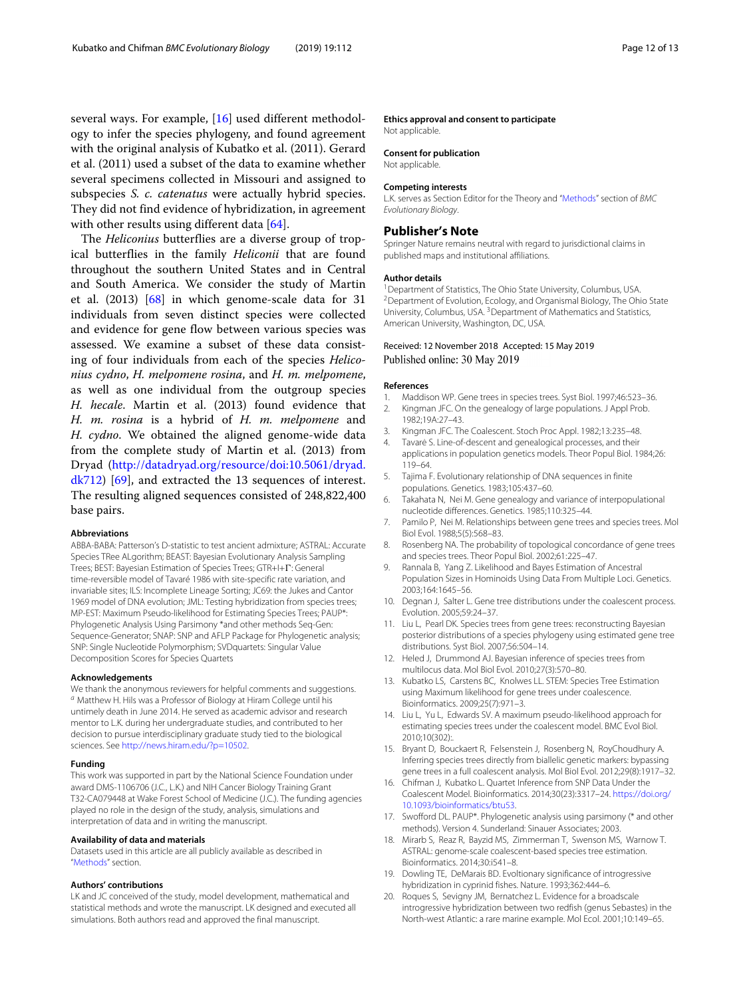several ways. For example, [\[16\]](#page-11-10) used different methodology to infer the species phylogeny, and found agreement with the original analysis of Kubatko et al. (2011). Gerard et al. (2011) used a subset of the data to examine whether several specimens collected in Missouri and assigned to subspecies *S. c. catenatus* were actually hybrid species. They did not find evidence of hybridization, in agreement with other results using different data [\[64\]](#page-12-28).

The *Heliconius* butterflies are a diverse group of tropical butterflies in the family *Heliconii* that are found throughout the southern United States and in Central and South America. We consider the study of Martin et al. (2013) [\[68\]](#page-12-33) in which genome-scale data for 31 individuals from seven distinct species were collected and evidence for gene flow between various species was assessed. We examine a subset of these data consisting of four individuals from each of the species *Heliconius cydno*, *H. melpomene rosina*, and *H. m. melpomene*, as well as one individual from the outgroup species *H. hecale*. Martin et al. (2013) found evidence that *H. m. rosina* is a hybrid of *H. m. melpomene* and *H. cydno*. We obtained the aligned genome-wide data from the complete study of Martin et al. (2013) from Dryad [\(http://datadryad.org/resource/doi:10.5061/dryad.](http://datadryad.org/resource/doi:10.5061/dryad.dk712) [dk712\)](http://datadryad.org/resource/doi:10.5061/dryad.dk712) [\[69\]](#page-12-34), and extracted the 13 sequences of interest. The resulting aligned sequences consisted of 248,822,400 base pairs.

#### **Abbreviations**

ABBA-BABA: Patterson's D-statistic to test ancient admixture; ASTRAL: Accurate Species TRee ALgorithm; BEAST: Bayesian Evolutionary Analysis Sampling Trees; BEST: Bayesian Estimation of Species Trees; GTR+I+T: General time-reversible model of Tavaré 1986 with site-specific rate variation, and invariable sites; ILS: Incomplete Lineage Sorting; JC69: the Jukes and Cantor 1969 model of DNA evolution; JML: Testing hybridization from species trees; MP-EST: Maximum Pseudo-likelihood for Estimating Species Trees; PAUP\*: Phylogenetic Analysis Using Parsimony \*and other methods Seq-Gen: Sequence-Generator; SNAP: SNP and AFLP Package for Phylogenetic analysis; SNP: Single Nucleotide Polymorphism; SVDquartets: Singular Value Decomposition Scores for Species Quartets

#### **Acknowledgements**

We thank the anonymous reviewers for helpful comments and suggestions. <sup>a</sup> Matthew H. Hils was a Professor of Biology at Hiram College until his untimely death in June 2014. He served as academic advisor and research mentor to L.K. during her undergraduate studies, and contributed to her decision to pursue interdisciplinary graduate study tied to the biological sciences. See [http://news.hiram.edu/?p=10502.](http://news.hiram.edu/?p=10502)

#### **Funding**

This work was supported in part by the National Science Foundation under award DMS-1106706 (J.C., L.K.) and NIH Cancer Biology Training Grant T32-CA079448 at Wake Forest School of Medicine (J.C.). The funding agencies played no role in the design of the study, analysis, simulations and interpretation of data and in writing the manuscript.

#### **Availability of data and materials**

Datasets used in this article are all publicly available as described in ["Methods"](#page-9-0) section.

#### **Authors' contributions**

LK and JC conceived of the study, model development, mathematical and statistical methods and wrote the manuscript. LK designed and executed all simulations. Both authors read and approved the final manuscript.

#### **Ethics approval and consent to participate**

Not applicable.

**Consent for publication**

# Not applicable.

#### **Competing interests**

L.K. serves as Section Editor for the Theory and ["Methods"](#page-9-0) section of BMC Evolutionary Biology.

#### **Publisher's Note**

Springer Nature remains neutral with regard to jurisdictional claims in published maps and institutional affiliations.

#### **Author details**

<sup>1</sup> Department of Statistics, The Ohio State University, Columbus, USA. 2Department of Evolution, Ecology, and Organismal Biology, The Ohio State University, Columbus, USA. 3Department of Mathematics and Statistics, American University, Washington, DC, USA.

#### Received: 12 November 2018 Accepted: 15 May 2019 Published online: 30 May 2019

#### **References**

- <span id="page-11-0"></span>1. Maddison WP. Gene trees in species trees. Syst Biol. 1997;46:523–36.
- <span id="page-11-1"></span>2. Kingman JFC. On the genealogy of large populations. J Appl Prob. 1982;19A:27–43.
- 3. Kingman JFC. The Coalescent. Stoch Proc Appl. 1982;13:235–48.
- <span id="page-11-2"></span>Tavare S. Line-of-descent and genealogical processes, and their applications in population genetics models. Theor Popul Biol. 1984;26: 119–64.
- <span id="page-11-3"></span>5. Tajima F. Evolutionary relationship of DNA sequences in finite populations. Genetics. 1983;105:437–60.
- 6. Takahata N, Nei M. Gene genealogy and variance of interpopulational nucleotide differences. Genetics. 1985;110:325–44.
- <span id="page-11-14"></span>7. Pamilo P, Nei M. Relationships between gene trees and species trees. Mol Biol Evol. 1988;5(5):568–83.
- 8. Rosenberg NA. The probability of topological concordance of gene trees and species trees. Theor Popul Biol. 2002;61:225–47.
- <span id="page-11-15"></span>9. Rannala B, Yang Z. Likelihood and Bayes Estimation of Ancestral Population Sizes in Hominoids Using Data From Multiple Loci. Genetics. 2003;164:1645–56.
- <span id="page-11-4"></span>10. Degnan J, Salter L. Gene tree distributions under the coalescent process. Evolution. 2005;59:24–37.
- <span id="page-11-5"></span>11. Liu L, Pearl DK. Species trees from gene trees: reconstructing Bayesian posterior distributions of a species phylogeny using estimated gene tree distributions. Syst Biol. 2007;56:504–14.
- <span id="page-11-6"></span>12. Heled J, Drummond AJ. Bayesian inference of species trees from multilocus data. Mol Biol Evol. 2010;27(3):570–80.
- <span id="page-11-7"></span>13. Kubatko LS, Carstens BC, Knolwes LL. STEM: Species Tree Estimation using Maximum likelihood for gene trees under coalescence. Bioinformatics. 2009;25(7):971–3.
- <span id="page-11-8"></span>14. Liu L, Yu L, Edwards SV. A maximum pseudo-likelihood approach for estimating species trees under the coalescent model. BMC Evol Biol. 2010;10(302):.
- <span id="page-11-9"></span>15. Bryant D, Bouckaert R, Felsenstein J, Rosenberg N, RoyChoudhury A. Inferring species trees directly from biallelic genetic markers: bypassing gene trees in a full coalescent analysis. Mol Biol Evol. 2012;29(8):1917–32.
- <span id="page-11-10"></span>16. Chifman J, Kubatko L. Quartet Inference from SNP Data Under the Coalescent Model. Bioinformatics. 2014;30(23):3317–24. [https://doi.org/](https://doi.org/10.1093/bioinformatics/btu53) [10.1093/bioinformatics/btu53.](https://doi.org/10.1093/bioinformatics/btu53)
- <span id="page-11-11"></span>17. Swofford DL. PAUP\*. Phylogenetic analysis using parsimony (\* and other methods). Version 4. Sunderland: Sinauer Associates; 2003.
- <span id="page-11-12"></span>18. Mirarb S, Reaz R, Bayzid MS, Zimmerman T, Swenson MS, Warnow T. ASTRAL: genome-scale coalescent-based species tree estimation. Bioinformatics. 2014;30:i541–8.
- <span id="page-11-13"></span>19. Dowling TE, DeMarais BD. Evoltionary significance of introgressive hybridization in cyprinid fishes. Nature. 1993;362:444–6.
- 20. Roques S, Sevigny JM, Bernatchez L. Evidence for a broadscale introgressive hybridization between two redfish (genus Sebastes) in the North-west Atlantic: a rare marine example. Mol Ecol. 2001;10:149–65.